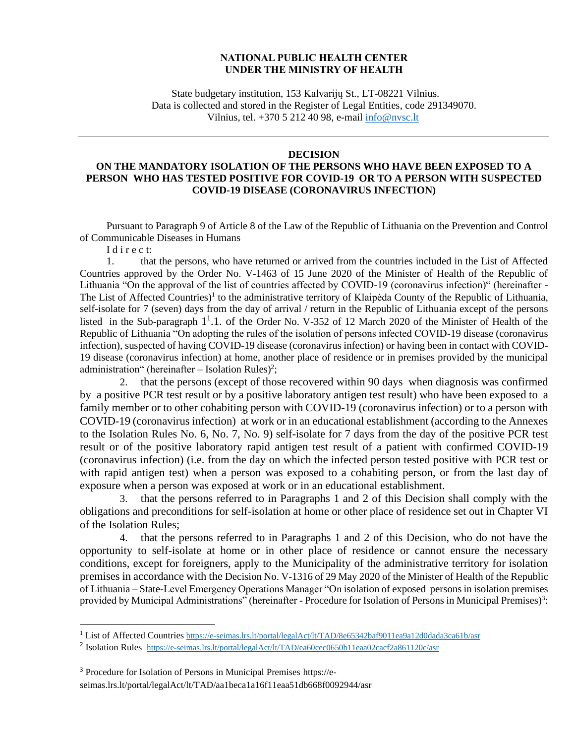## **NATIONAL PUBLIC HEALTH CENTER UNDER THE MINISTRY OF HEALTH**

State budgetary institution, 153 Kalvarijų St., LT-08221 Vilnius. Data is collected and stored in the Register of Legal Entities, code 291349070. Vilnius, tel. +370 5 212 40 98, e-mail [info@nvsc.lt](mailto:info@nvsc.lt)

## **DECISION**

## **ON THE MANDATORY ISOLATION OF THE PERSONS WHO HAVE BEEN EXPOSED TO A PERSON WHO HAS TESTED POSITIVE FOR COVID-19 OR TO A PERSON WITH SUSPECTED COVID-19 DISEASE (CORONAVIRUS INFECTION)**

Pursuant to Paragraph 9 of Article 8 of the Law of the Republic of Lithuania on the Prevention and Control of Communicable Diseases in Humans

I d i r e c t:

1. that the persons, who have returned or arrived from the countries included in the List of Affected Countries approved by the Order No. V-1463 of 15 June 2020 of the Minister of Health of the Republic of Lithuania "On the approval of the list of countries affected by COVID-19 (coronavirus infection)" (hereinafter - The List of Affected Countries)<sup>1</sup> to the administrative territory of Klaipėda County of the Republic of Lithuania, self-isolate for 7 (seven) days from the day of arrival / return in the Republic of Lithuania except of the persons listed in the Sub-paragraph 1<sup>1</sup>.1. of the Order No. V-352 of 12 March 2020 of the Minister of Health of the Republic of Lithuania "On adopting the rules of the isolation of persons infected COVID-19 disease (coronavirus infection), suspected of having COVID-19 disease (coronavirus infection) or having been in contact with COVID-19 disease (coronavirus infection) at home, another place of residence or in premises provided by the municipal administration" (hereinafter  $-$  Isolation Rules)<sup>2</sup>;

2. that the persons (except of those recovered within 90 days when diagnosis was confirmed by a positive PCR test result or by a positive laboratory antigen test result) who have been exposed to a family member or to other cohabiting person with COVID-19 (coronavirus infection) or to a person with COVID-19 (coronavirus infection) at work or in an educational establishment (according to the Annexes to the Isolation Rules No. 6, No. 7, No. 9) self-isolate for 7 days from the day of the positive PCR test result or of the positive laboratory rapid antigen test result of a patient with confirmed COVID-19 (coronavirus infection) (i.e. from the day on which the infected person tested positive with PCR test or with rapid antigen test) when a person was exposed to a cohabiting person, or from the last day of exposure when a person was exposed at work or in an educational establishment.

3. that the persons referred to in Paragraphs 1 and 2 of this Decision shall comply with the obligations and preconditions for self-isolation at home or other place of residence set out in Chapter VI of the Isolation Rules;

4. that the persons referred to in Paragraphs 1 and 2 of this Decision, who do not have the opportunity to self-isolate at home or in other place of residence or cannot ensure the necessary conditions, except for foreigners, apply to the Municipality of the administrative territory for isolation premises in accordance with the Decision No. V-1316 of 29 May 2020 of the Minister of Health of the Republic of Lithuania – State-Level Emergency Operations Manager "On isolation of exposed persons in isolation premises provided by Municipal Administrations" (hereinafter - Procedure for Isolation of Persons in Municipal Premises)<sup>3</sup>:

<sup>&</sup>lt;sup>1</sup> List of Affected Countries <https://e-seimas.lrs.lt/portal/legalAct/lt/TAD/8e65342baf9011ea9a12d0dada3ca61b/asr>

<sup>&</sup>lt;sup>2</sup> Isolation Rules <https://e-seimas.lrs.lt/portal/legalAct/lt/TAD/ea60cec0650b11eaa02cacf2a861120c/asr>

<sup>3</sup> Procedure for Isolation of Persons in Municipal Premises https://eseimas.lrs.lt/portal/legalAct/lt/TAD/aa1beca1a16f11eaa51db668f0092944/asr